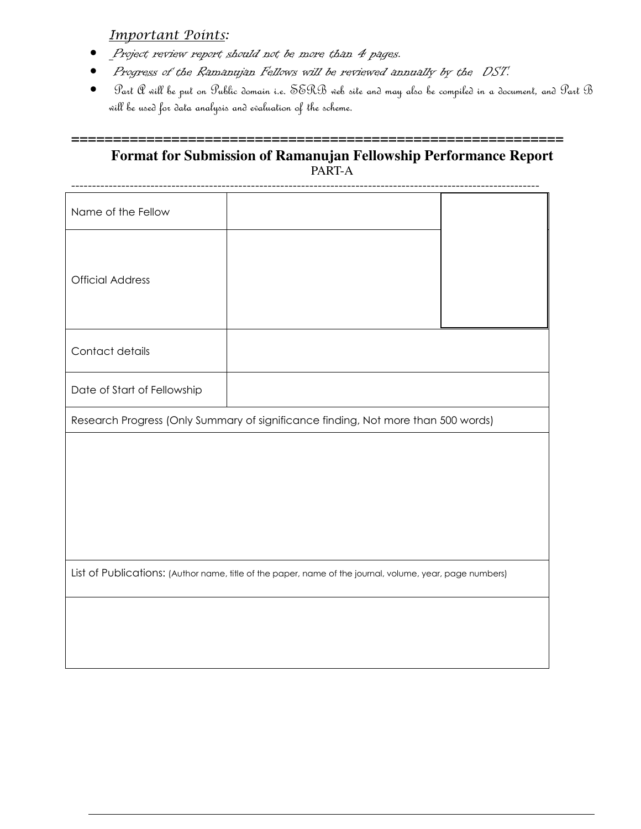Important Points:

- Project review report should not be more than 4 pages.
- Progress of the Ramanujan Fellows will be reviewed annually by the DST.
- Part A will be put on Public domain i.e. SERB web site and may also be compiled in a document, and Part B will be used for data analysis and evaluation of the scheme.

## **=========================================================== Format for Submission of Ramanujan Fellowship Performance Report**  PART-A

| Name of the Fellow                                                                                       |  |  |  |  |
|----------------------------------------------------------------------------------------------------------|--|--|--|--|
| <b>Official Address</b>                                                                                  |  |  |  |  |
| Contact details                                                                                          |  |  |  |  |
| Date of Start of Fellowship                                                                              |  |  |  |  |
| Research Progress (Only Summary of significance finding, Not more than 500 words)                        |  |  |  |  |
|                                                                                                          |  |  |  |  |
| List of Publications: (Author name, title of the paper, name of the journal, volume, year, page numbers) |  |  |  |  |
|                                                                                                          |  |  |  |  |